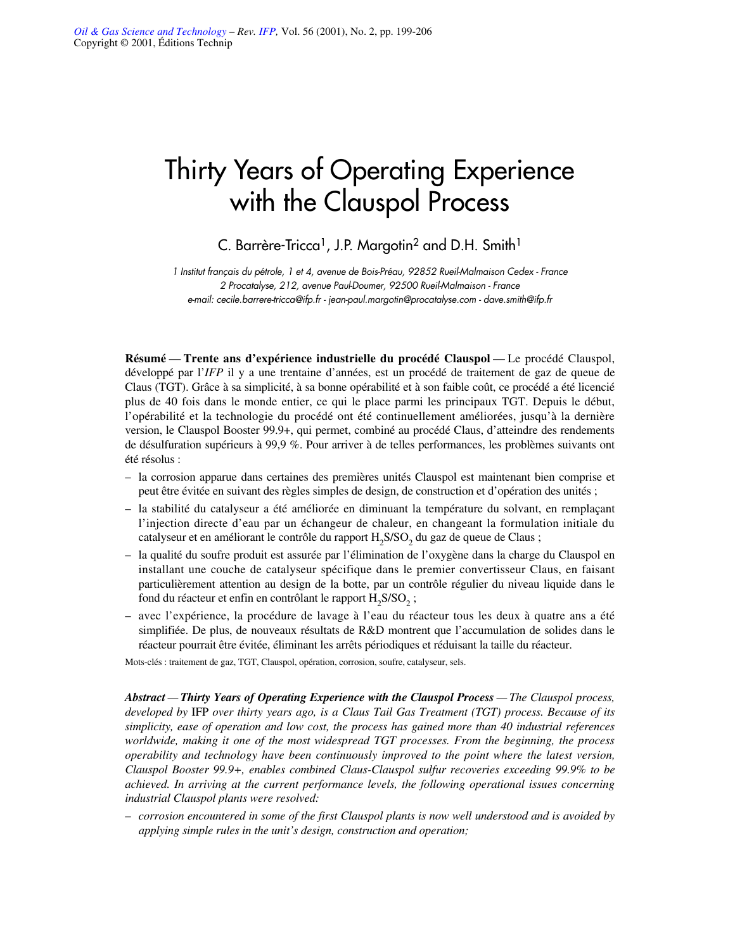# Thirty Years of Operating Experience with the Clauspol Process

C. Barrère-Tricca<sup>1</sup>, J.P. Margotin<sup>2</sup> and D.H. Smith<sup>1</sup>

*1 Institut français du pétrole, 1 et 4, avenue de Bois-Préau, 92852 Rueil-Malmaison Cedex - France 2 Procatalyse, 212, avenue Paul-Doumer, 92500 Rueil-Malmaison - France e-mail: cecile.barrere-tricca@ifp.fr - jean-paul.margotin@procatalyse.com - dave.smith@ifp.fr*

**Résumé** — **Trente ans d'expérience industrielle du procédé Clauspol** — Le procédé Clauspol, développé par l'*IFP* il y a une trentaine d'années, est un procédé de traitement de gaz de queue de Claus (TGT). Grâce à sa simplicité, à sa bonne opérabilité et à son faible coût, ce procédé a été licencié plus de 40 fois dans le monde entier, ce qui le place parmi les principaux TGT. Depuis le début, l'opérabilité et la technologie du procédé ont été continuellement améliorées, jusqu'à la dernière version, le Clauspol Booster 99.9+, qui permet, combiné au procédé Claus, d'atteindre des rendements de désulfuration supérieurs à 99,9 %. Pour arriver à de telles performances, les problèmes suivants ont été résolus :

- la corrosion apparue dans certaines des premières unités Clauspol est maintenant bien comprise et peut être évitée en suivant des règles simples de design, de construction et d'opération des unités ;
- la stabilité du catalyseur a été améliorée en diminuant la température du solvant, en remplaçant l'injection directe d'eau par un échangeur de chaleur, en changeant la formulation initiale du catalyseur et en améliorant le contrôle du rapport H<sub>2</sub>S/SO<sub>2</sub> du gaz de queue de Claus ;
- la qualité du soufre produit est assurée par l'élimination de l'oxygène dans la charge du Clauspol en installant une couche de catalyseur spécifique dans le premier convertisseur Claus, en faisant particulièrement attention au design de la botte, par un contrôle régulier du niveau liquide dans le fond du réacteur et enfin en contrôlant le rapport  $H_2S/SO_2$ ;
- avec l'expérience, la procédure de lavage à l'eau du réacteur tous les deux à quatre ans a été simplifiée. De plus, de nouveaux résultats de R&D montrent que l'accumulation de solides dans le réacteur pourrait être évitée, éliminant les arrêts périodiques et réduisant la taille du réacteur.

Mots-clés : traitement de gaz, TGT, Clauspol, opération, corrosion, soufre, catalyseur, sels.

*Abstract — Thirty Years of Operating Experience with the Clauspol Process — The Clauspol process, developed by* IFP *over thirty years ago, is a Claus Tail Gas Treatment (TGT) process. Because of its simplicity, ease of operation and low cost, the process has gained more than 40 industrial references worldwide, making it one of the most widespread TGT processes. From the beginning, the process operability and technology have been continuously improved to the point where the latest version, Clauspol Booster 99.9+, enables combined Claus-Clauspol sulfur recoveries exceeding 99.9% to be achieved. In arriving at the current performance levels, the following operational issues concerning industrial Clauspol plants were resolved:*

*– corrosion encountered in some of the first Clauspol plants is now well understood and is avoided by applying simple rules in the unit's design, construction and operation;*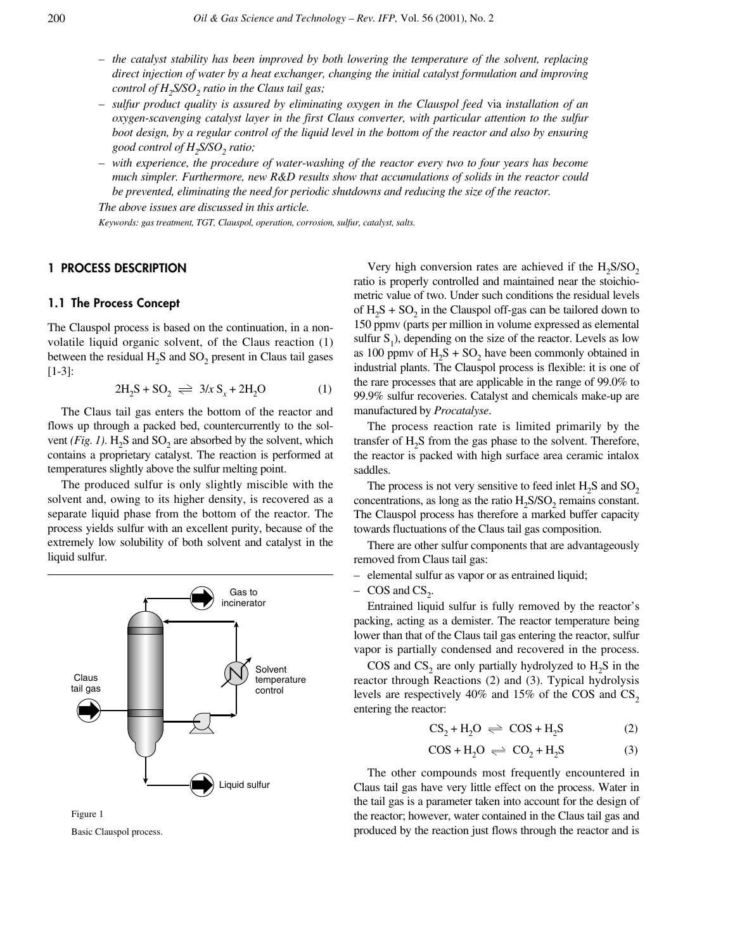- *the catalyst stability has been improved by both lowering the temperature of the solvent, replacing direct injection of water by a heat exchanger, changing the initial catalyst formulation and improving control of H<sub>2</sub>S/SO<sub>2</sub> ratio in the Claus tail gas;*
- *sulfur product quality is assured by eliminating oxygen in the Clauspol feed* via *installation of an oxygen-scavenging catalyst layer in the first Claus converter, with particular attention to the sulfur boot design, by a regular control of the liquid level in the bottom of the reactor and also by ensuring good control of H<sub>2</sub>S/SO<sub>2</sub> ratio;*
- *with experience, the procedure of water-washing of the reactor every two to four years has become much simpler. Furthermore, new R&D results show that accumulations of solids in the reactor could be prevented, eliminating the need for periodic shutdowns and reducing the size of the reactor.*

*The above issues are discussed in this article.*

*Keywords: gas treatment, TGT, Clauspol, operation, corrosion, sulfur, catalyst, salts.*

## **1 PROCESS DESCRIPTION**

## **1.1 The Process Concept**

The Clauspol process is based on the continuation, in a nonvolatile liquid organic solvent, of the Claus reaction (1) between the residual  $H_2S$  and  $SO_2$  present in Claus tail gases [1-3]:

$$
2H_2S + SO_2 \implies 3/x S_x + 2H_2O \tag{1}
$$

The Claus tail gas enters the bottom of the reactor and flows up through a packed bed, countercurrently to the solvent *(Fig. 1)*. H<sub>2</sub>S and SO<sub>2</sub> are absorbed by the solvent, which contains a proprietary catalyst. The reaction is performed at temperatures slightly above the sulfur melting point.

The produced sulfur is only slightly miscible with the solvent and, owing to its higher density, is recovered as a separate liquid phase from the bottom of the reactor. The process yields sulfur with an excellent purity, because of the extremely low solubility of both solvent and catalyst in the liquid sulfur.



Basic Clauspol process.

Very high conversion rates are achieved if the  $H_2S/SO_2$ ratio is properly controlled and maintained near the stoichiometric value of two. Under such conditions the residual levels of  $H_2S + SO_2$  in the Clauspol off-gas can be tailored down to 150 ppmv (parts per million in volume expressed as elemental sulfur  $S_1$ ), depending on the size of the reactor. Levels as low as 100 ppmv of  $H_2S + SO_2$  have been commonly obtained in industrial plants. The Clauspol process is flexible: it is one of the rare processes that are applicable in the range of 99.0% to 99.9% sulfur recoveries. Catalyst and chemicals make-up are manufactured by *Procatalyse*.

The process reaction rate is limited primarily by the transfer of  $H_2S$  from the gas phase to the solvent. Therefore, the reactor is packed with high surface area ceramic intalox saddles.

The process is not very sensitive to feed inlet  $H_2S$  and  $SO_2$ concentrations, as long as the ratio  $H_2$ S/SO<sub>2</sub> remains constant. The Clauspol process has therefore a marked buffer capacity towards fluctuations of the Claus tail gas composition.

There are other sulfur components that are advantageously removed from Claus tail gas:

- elemental sulfur as vapor or as entrained liquid;
- $-$  COS and CS<sub>2</sub>.

Entrained liquid sulfur is fully removed by the reactor's packing, acting as a demister. The reactor temperature being lower than that of the Claus tail gas entering the reactor, sulfur vapor is partially condensed and recovered in the process.

COS and  $CS_2$  are only partially hydrolyzed to  $H_2S$  in the reactor through Reactions (2) and (3). Typical hydrolysis levels are respectively 40% and 15% of the COS and  $CS_2$ entering the reactor:

$$
CS_2 + H_2O \implies COS + H_2S \tag{2}
$$

$$
COS + H_2O \implies CO_2 + H_2S \tag{3}
$$

The other compounds most frequently encountered in Claus tail gas have very little effect on the process. Water in the tail gas is a parameter taken into account for the design of the reactor; however, water contained in the Claus tail gas and produced by the reaction just flows through the reactor and is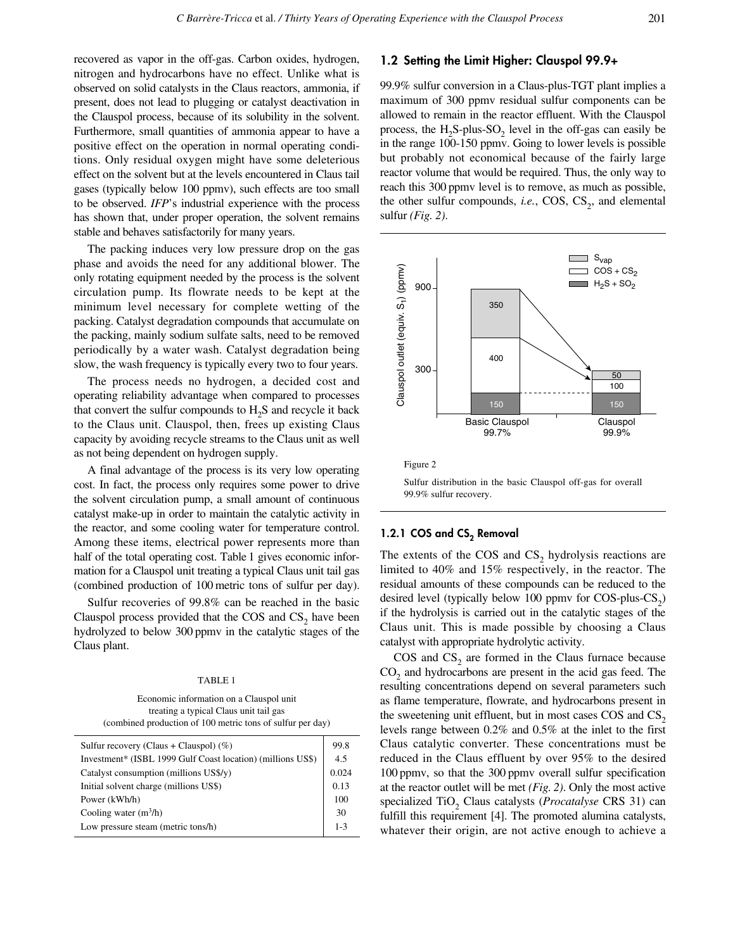recovered as vapor in the off-gas. Carbon oxides, hydrogen, nitrogen and hydrocarbons have no effect. Unlike what is observed on solid catalysts in the Claus reactors, ammonia, if present, does not lead to plugging or catalyst deactivation in the Clauspol process, because of its solubility in the solvent. Furthermore, small quantities of ammonia appear to have a positive effect on the operation in normal operating conditions. Only residual oxygen might have some deleterious effect on the solvent but at the levels encountered in Claus tail gases (typically below 100 ppmv), such effects are too small to be observed. *IFP*'s industrial experience with the process has shown that, under proper operation, the solvent remains stable and behaves satisfactorily for many years.

The packing induces very low pressure drop on the gas phase and avoids the need for any additional blower. The only rotating equipment needed by the process is the solvent circulation pump. Its flowrate needs to be kept at the minimum level necessary for complete wetting of the packing. Catalyst degradation compounds that accumulate on the packing, mainly sodium sulfate salts, need to be removed periodically by a water wash. Catalyst degradation being slow, the wash frequency is typically every two to four years.

The process needs no hydrogen, a decided cost and operating reliability advantage when compared to processes that convert the sulfur compounds to  $H<sub>2</sub>S$  and recycle it back to the Claus unit. Clauspol, then, frees up existing Claus capacity by avoiding recycle streams to the Claus unit as well as not being dependent on hydrogen supply.

A final advantage of the process is its very low operating cost. In fact, the process only requires some power to drive the solvent circulation pump, a small amount of continuous catalyst make-up in order to maintain the catalytic activity in the reactor, and some cooling water for temperature control. Among these items, electrical power represents more than half of the total operating cost. Table 1 gives economic information for a Clauspol unit treating a typical Claus unit tail gas (combined production of 100 metric tons of sulfur per day).

Sulfur recoveries of 99.8% can be reached in the basic Clauspol process provided that the  $COS$  and  $CS<sub>2</sub>$  have been hydrolyzed to below 300 ppmv in the catalytic stages of the Claus plant.

#### TABLE 1

Economic information on a Clauspol unit treating a typical Claus unit tail gas (combined production of 100 metric tons of sulfur per day)

| 99.8    |
|---------|
| 4.5     |
| 0.024   |
| 0.13    |
| 100     |
| 30      |
| $1 - 3$ |
|         |

# **1.2 Setting the Limit Higher: Clauspol 99.9+**

99.9% sulfur conversion in a Claus-plus-TGT plant implies a maximum of 300 ppmv residual sulfur components can be allowed to remain in the reactor effluent. With the Clauspol process, the  $H_2S$ -plus-SO<sub>2</sub> level in the off-gas can easily be in the range 100-150 ppmv. Going to lower levels is possible but probably not economical because of the fairly large reactor volume that would be required. Thus, the only way to reach this 300 ppmv level is to remove, as much as possible, the other sulfur compounds, *i.e.*, COS,  $CS_2$ , and elemental sulfur *(Fig. 2)*.



Sulfur distribution in the basic Clauspol off-gas for overall 99.9% sulfur recovery.

# 1.2.1 COS and CS<sub>2</sub> Removal

The extents of the COS and  $CS<sub>2</sub>$  hydrolysis reactions are limited to 40% and 15% respectively, in the reactor. The residual amounts of these compounds can be reduced to the desired level (typically below 100 ppmv for  $COS$ -plus- $CS_2$ ) if the hydrolysis is carried out in the catalytic stages of the Claus unit. This is made possible by choosing a Claus catalyst with appropriate hydrolytic activity.

 $\cos$  and  $\cos$ <sub>2</sub> are formed in the Claus furnace because CO<sub>2</sub> and hydrocarbons are present in the acid gas feed. The resulting concentrations depend on several parameters such as flame temperature, flowrate, and hydrocarbons present in the sweetening unit effluent, but in most cases  $COS$  and  $CS<sub>2</sub>$ levels range between 0.2% and 0.5% at the inlet to the first Claus catalytic converter. These concentrations must be reduced in the Claus effluent by over 95% to the desired 100 ppmv, so that the 300 ppmv overall sulfur specification at the reactor outlet will be met *(Fig. 2)*. Only the most active specialized TiO<sub>2</sub> Claus catalysts (*Procatalyse* CRS 31) can fulfill this requirement [4]. The promoted alumina catalysts, whatever their origin, are not active enough to achieve a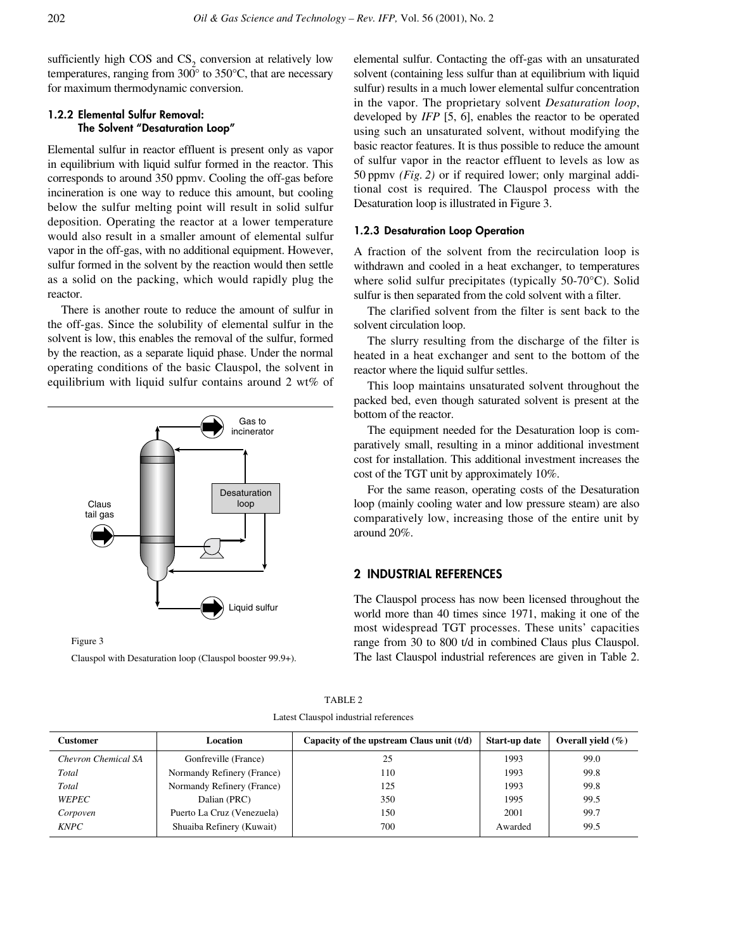sufficiently high COS and  $CS<sub>2</sub>$  conversion at relatively low temperatures, ranging from  $300^{\circ}$  to  $350^{\circ}$ C, that are necessary for maximum thermodynamic conversion.

# **1.2.2 Elemental Sulfur Removal: The Solvent "Desaturation Loop"**

Elemental sulfur in reactor effluent is present only as vapor in equilibrium with liquid sulfur formed in the reactor. This corresponds to around 350 ppmv. Cooling the off-gas before incineration is one way to reduce this amount, but cooling below the sulfur melting point will result in solid sulfur deposition. Operating the reactor at a lower temperature would also result in a smaller amount of elemental sulfur vapor in the off-gas, with no additional equipment. However, sulfur formed in the solvent by the reaction would then settle as a solid on the packing, which would rapidly plug the reactor.

There is another route to reduce the amount of sulfur in the off-gas. Since the solubility of elemental sulfur in the solvent is low, this enables the removal of the sulfur, formed by the reaction, as a separate liquid phase. Under the normal operating conditions of the basic Clauspol, the solvent in equilibrium with liquid sulfur contains around 2 wt% of



Figure 3

Clauspol with Desaturation loop (Clauspol booster 99.9+).

elemental sulfur. Contacting the off-gas with an unsaturated solvent (containing less sulfur than at equilibrium with liquid sulfur) results in a much lower elemental sulfur concentration in the vapor. The proprietary solvent *Desaturation loop*, developed by *IFP* [5, 6], enables the reactor to be operated using such an unsaturated solvent, without modifying the basic reactor features. It is thus possible to reduce the amount of sulfur vapor in the reactor effluent to levels as low as 50 ppmv *(Fig. 2)* or if required lower; only marginal additional cost is required. The Clauspol process with the Desaturation loop is illustrated in Figure 3.

## **1.2.3 Desaturation Loop Operation**

A fraction of the solvent from the recirculation loop is withdrawn and cooled in a heat exchanger, to temperatures where solid sulfur precipitates (typically 50-70°C). Solid sulfur is then separated from the cold solvent with a filter.

The clarified solvent from the filter is sent back to the solvent circulation loop.

The slurry resulting from the discharge of the filter is heated in a heat exchanger and sent to the bottom of the reactor where the liquid sulfur settles.

This loop maintains unsaturated solvent throughout the packed bed, even though saturated solvent is present at the bottom of the reactor.

The equipment needed for the Desaturation loop is comparatively small, resulting in a minor additional investment cost for installation. This additional investment increases the cost of the TGT unit by approximately 10%.

For the same reason, operating costs of the Desaturation loop (mainly cooling water and low pressure steam) are also comparatively low, increasing those of the entire unit by around 20%.

# **2 INDUSTRIAL REFERENCES**

The Clauspol process has now been licensed throughout the world more than 40 times since 1971, making it one of the most widespread TGT processes. These units' capacities range from 30 to 800 t/d in combined Claus plus Clauspol. The last Clauspol industrial references are given in Table 2.

| Customer            | Location                   | Capacity of the upstream Claus unit $(t/d)$ | Start-up date | Overall vield $(\% )$ |
|---------------------|----------------------------|---------------------------------------------|---------------|-----------------------|
| Chevron Chemical SA | Gonfreville (France)       | 25                                          | 1993          | 99.0                  |
| Total               | Normandy Refinery (France) | 110                                         | 1993          | 99.8                  |
| Total               | Normandy Refinery (France) | 125                                         | 1993          | 99.8                  |
| <b>WEPEC</b>        | Dalian (PRC)               | 350                                         | 1995          | 99.5                  |
| Corpoven            | Puerto La Cruz (Venezuela) | 150                                         | 2001          | 99.7                  |
| <b>KNPC</b>         | Shuaiba Refinery (Kuwait)  | 700                                         | Awarded       | 99.5                  |

TABLE 2 Latest Clauspol industrial references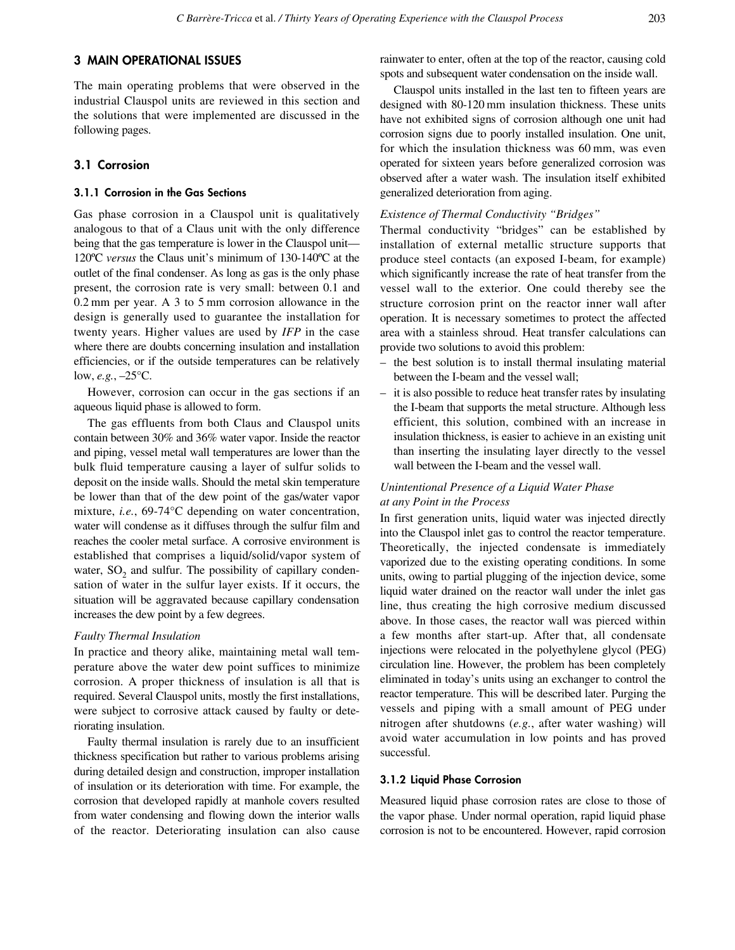# **3 MAIN OPERATIONAL ISSUES**

The main operating problems that were observed in the industrial Clauspol units are reviewed in this section and the solutions that were implemented are discussed in the following pages.

# **3.1 Corrosion**

### **3.1.1 Corrosion in the Gas Sections**

Gas phase corrosion in a Clauspol unit is qualitatively analogous to that of a Claus unit with the only difference being that the gas temperature is lower in the Clauspol unit— 120ºC *versus* the Claus unit's minimum of 130-140ºC at the outlet of the final condenser. As long as gas is the only phase present, the corrosion rate is very small: between 0.1 and 0.2 mm per year. A 3 to 5 mm corrosion allowance in the design is generally used to guarantee the installation for twenty years. Higher values are used by *IFP* in the case where there are doubts concerning insulation and installation efficiencies, or if the outside temperatures can be relatively low, *e.g.*, –25°C.

However, corrosion can occur in the gas sections if an aqueous liquid phase is allowed to form.

The gas effluents from both Claus and Clauspol units contain between 30% and 36% water vapor. Inside the reactor and piping, vessel metal wall temperatures are lower than the bulk fluid temperature causing a layer of sulfur solids to deposit on the inside walls. Should the metal skin temperature be lower than that of the dew point of the gas/water vapor mixture, *i.e.*, 69-74°C depending on water concentration, water will condense as it diffuses through the sulfur film and reaches the cooler metal surface. A corrosive environment is established that comprises a liquid/solid/vapor system of water,  $SO<sub>2</sub>$  and sulfur. The possibility of capillary condensation of water in the sulfur layer exists. If it occurs, the situation will be aggravated because capillary condensation increases the dew point by a few degrees.

#### *Faulty Thermal Insulation*

In practice and theory alike, maintaining metal wall temperature above the water dew point suffices to minimize corrosion. A proper thickness of insulation is all that is required. Several Clauspol units, mostly the first installations, were subject to corrosive attack caused by faulty or deteriorating insulation.

Faulty thermal insulation is rarely due to an insufficient thickness specification but rather to various problems arising during detailed design and construction, improper installation of insulation or its deterioration with time. For example, the corrosion that developed rapidly at manhole covers resulted from water condensing and flowing down the interior walls of the reactor. Deteriorating insulation can also cause rainwater to enter, often at the top of the reactor, causing cold spots and subsequent water condensation on the inside wall.

Clauspol units installed in the last ten to fifteen years are designed with 80-120 mm insulation thickness. These units have not exhibited signs of corrosion although one unit had corrosion signs due to poorly installed insulation. One unit, for which the insulation thickness was 60 mm, was even operated for sixteen years before generalized corrosion was observed after a water wash. The insulation itself exhibited generalized deterioration from aging.

#### *Existence of Thermal Conductivity "Bridges"*

Thermal conductivity "bridges" can be established by installation of external metallic structure supports that produce steel contacts (an exposed I-beam, for example) which significantly increase the rate of heat transfer from the vessel wall to the exterior. One could thereby see the structure corrosion print on the reactor inner wall after operation. It is necessary sometimes to protect the affected area with a stainless shroud. Heat transfer calculations can provide two solutions to avoid this problem:

- the best solution is to install thermal insulating material between the I-beam and the vessel wall;
- it is also possible to reduce heat transfer rates by insulating the I-beam that supports the metal structure. Although less efficient, this solution, combined with an increase in insulation thickness, is easier to achieve in an existing unit than inserting the insulating layer directly to the vessel wall between the I-beam and the vessel wall.

# *Unintentional Presence of a Liquid Water Phase at any Point in the Process*

In first generation units, liquid water was injected directly into the Clauspol inlet gas to control the reactor temperature. Theoretically, the injected condensate is immediately vaporized due to the existing operating conditions. In some units, owing to partial plugging of the injection device, some liquid water drained on the reactor wall under the inlet gas line, thus creating the high corrosive medium discussed above. In those cases, the reactor wall was pierced within a few months after start-up. After that, all condensate injections were relocated in the polyethylene glycol (PEG) circulation line. However, the problem has been completely eliminated in today's units using an exchanger to control the reactor temperature. This will be described later. Purging the vessels and piping with a small amount of PEG under nitrogen after shutdowns (*e.g.*, after water washing) will avoid water accumulation in low points and has proved successful.

#### **3.1.2 Liquid Phase Corrosion**

Measured liquid phase corrosion rates are close to those of the vapor phase. Under normal operation, rapid liquid phase corrosion is not to be encountered. However, rapid corrosion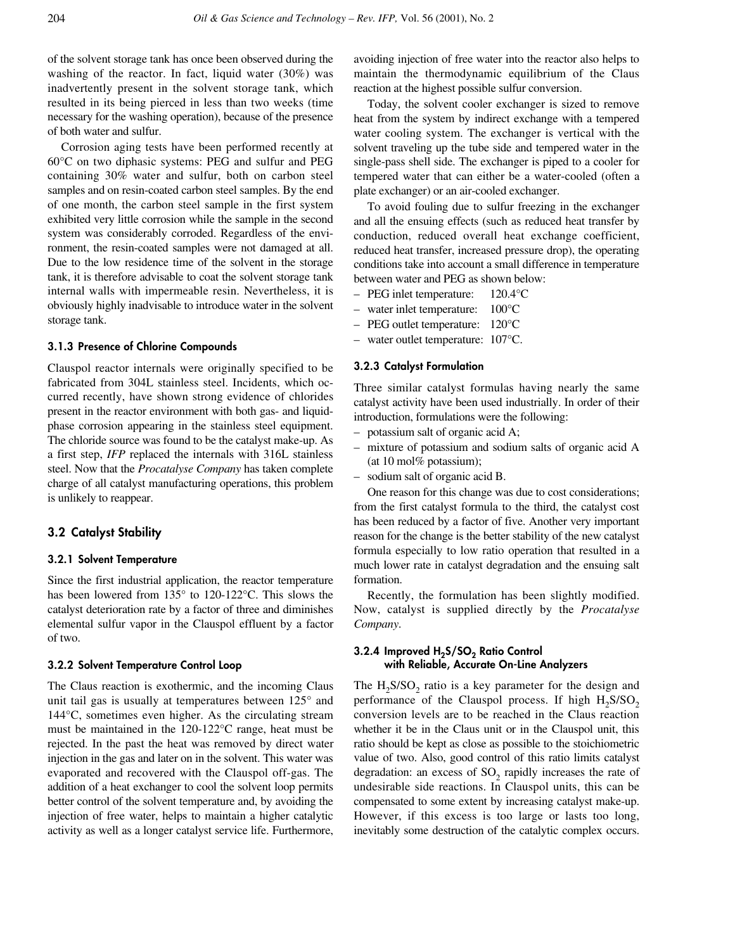of the solvent storage tank has once been observed during the washing of the reactor. In fact, liquid water (30%) was inadvertently present in the solvent storage tank, which resulted in its being pierced in less than two weeks (time necessary for the washing operation), because of the presence of both water and sulfur.

Corrosion aging tests have been performed recently at 60°C on two diphasic systems: PEG and sulfur and PEG containing 30% water and sulfur, both on carbon steel samples and on resin-coated carbon steel samples. By the end of one month, the carbon steel sample in the first system exhibited very little corrosion while the sample in the second system was considerably corroded. Regardless of the environment, the resin-coated samples were not damaged at all. Due to the low residence time of the solvent in the storage tank, it is therefore advisable to coat the solvent storage tank internal walls with impermeable resin. Nevertheless, it is obviously highly inadvisable to introduce water in the solvent storage tank.

#### **3.1.3 Presence of Chlorine Compounds**

Clauspol reactor internals were originally specified to be fabricated from 304L stainless steel. Incidents, which occurred recently, have shown strong evidence of chlorides present in the reactor environment with both gas- and liquidphase corrosion appearing in the stainless steel equipment. The chloride source was found to be the catalyst make-up. As a first step, *IFP* replaced the internals with 316L stainless steel. Now that the *Procatalyse Company* has taken complete charge of all catalyst manufacturing operations, this problem is unlikely to reappear.

## **3.2 Catalyst Stability**

#### **3.2.1 Solvent Temperature**

Since the first industrial application, the reactor temperature has been lowered from 135° to 120-122°C. This slows the catalyst deterioration rate by a factor of three and diminishes elemental sulfur vapor in the Clauspol effluent by a factor of two.

#### **3.2.2 Solvent Temperature Control Loop**

The Claus reaction is exothermic, and the incoming Claus unit tail gas is usually at temperatures between 125° and 144°C, sometimes even higher. As the circulating stream must be maintained in the 120-122°C range, heat must be rejected. In the past the heat was removed by direct water injection in the gas and later on in the solvent. This water was evaporated and recovered with the Clauspol off-gas. The addition of a heat exchanger to cool the solvent loop permits better control of the solvent temperature and, by avoiding the injection of free water, helps to maintain a higher catalytic activity as well as a longer catalyst service life. Furthermore,

avoiding injection of free water into the reactor also helps to maintain the thermodynamic equilibrium of the Claus reaction at the highest possible sulfur conversion.

Today, the solvent cooler exchanger is sized to remove heat from the system by indirect exchange with a tempered water cooling system. The exchanger is vertical with the solvent traveling up the tube side and tempered water in the single-pass shell side. The exchanger is piped to a cooler for tempered water that can either be a water-cooled (often a plate exchanger) or an air-cooled exchanger.

To avoid fouling due to sulfur freezing in the exchanger and all the ensuing effects (such as reduced heat transfer by conduction, reduced overall heat exchange coefficient, reduced heat transfer, increased pressure drop), the operating conditions take into account a small difference in temperature between water and PEG as shown below:

- PEG inlet temperature: 120.4°C
- water inlet temperature: 100°C
- PEG outlet temperature: 120°C
- water outlet temperature: 107°C.

#### **3.2.3 Catalyst Formulation**

Three similar catalyst formulas having nearly the same catalyst activity have been used industrially. In order of their introduction, formulations were the following:

- potassium salt of organic acid A;
- mixture of potassium and sodium salts of organic acid A (at 10 mol% potassium);
- sodium salt of organic acid B.

One reason for this change was due to cost considerations; from the first catalyst formula to the third, the catalyst cost has been reduced by a factor of five. Another very important reason for the change is the better stability of the new catalyst formula especially to low ratio operation that resulted in a much lower rate in catalyst degradation and the ensuing salt formation.

Recently, the formulation has been slightly modified. Now, catalyst is supplied directly by the *Procatalyse Company*.

## **3.2.4 Improved H<sub>2</sub>S/SO<sub>2</sub> Ratio Control with Reliable, Accurate On-Line Analyzers**

The  $H_2$ S/SO<sub>2</sub> ratio is a key parameter for the design and performance of the Clauspol process. If high  $H_2S/SO_2$ conversion levels are to be reached in the Claus reaction whether it be in the Claus unit or in the Clauspol unit, this ratio should be kept as close as possible to the stoichiometric value of two. Also, good control of this ratio limits catalyst degradation: an excess of SO<sub>2</sub> rapidly increases the rate of undesirable side reactions. In Clauspol units, this can be compensated to some extent by increasing catalyst make-up. However, if this excess is too large or lasts too long, inevitably some destruction of the catalytic complex occurs.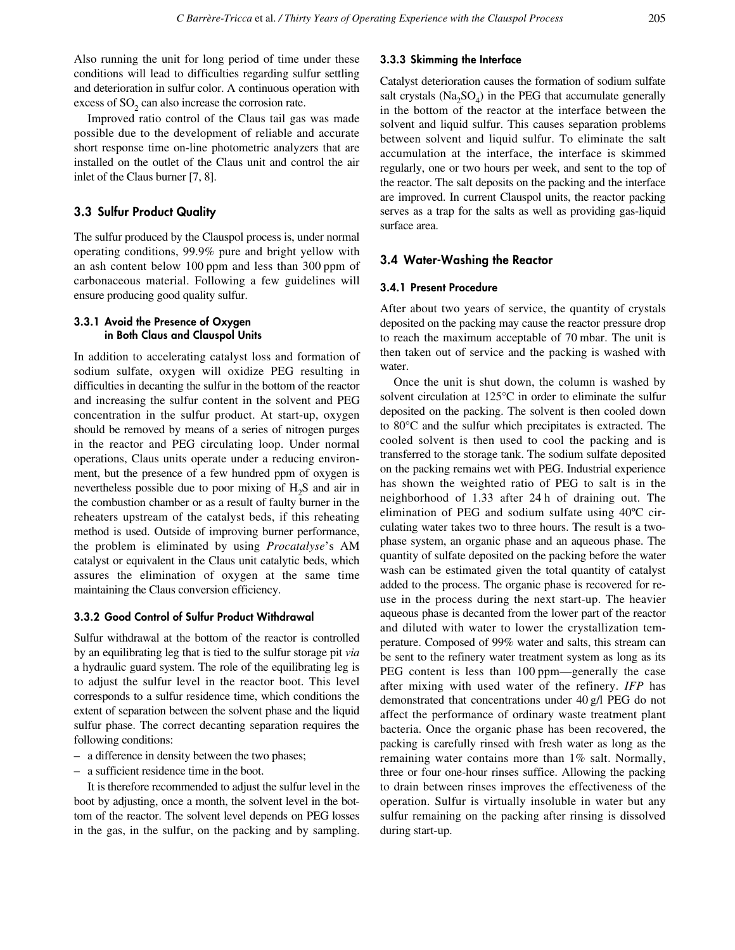Also running the unit for long period of time under these conditions will lead to difficulties regarding sulfur settling and deterioration in sulfur color. A continuous operation with excess of  $SO<sub>2</sub>$  can also increase the corrosion rate.

Improved ratio control of the Claus tail gas was made possible due to the development of reliable and accurate short response time on-line photometric analyzers that are installed on the outlet of the Claus unit and control the air inlet of the Claus burner [7, 8].

# **3.3 Sulfur Product Quality**

The sulfur produced by the Clauspol process is, under normal operating conditions, 99.9% pure and bright yellow with an ash content below 100 ppm and less than 300 ppm of carbonaceous material. Following a few guidelines will ensure producing good quality sulfur.

## **3.3.1 Avoid the Presence of Oxygen in Both Claus and Clauspol Units**

In addition to accelerating catalyst loss and formation of sodium sulfate, oxygen will oxidize PEG resulting in difficulties in decanting the sulfur in the bottom of the reactor and increasing the sulfur content in the solvent and PEG concentration in the sulfur product. At start-up, oxygen should be removed by means of a series of nitrogen purges in the reactor and PEG circulating loop. Under normal operations, Claus units operate under a reducing environment, but the presence of a few hundred ppm of oxygen is nevertheless possible due to poor mixing of  $H_2S$  and air in the combustion chamber or as a result of faulty burner in the reheaters upstream of the catalyst beds, if this reheating method is used. Outside of improving burner performance, the problem is eliminated by using *Procatalyse*'s AM catalyst or equivalent in the Claus unit catalytic beds, which assures the elimination of oxygen at the same time maintaining the Claus conversion efficiency.

## **3.3.2 Good Control of Sulfur Product Withdrawal**

Sulfur withdrawal at the bottom of the reactor is controlled by an equilibrating leg that is tied to the sulfur storage pit *via* a hydraulic guard system. The role of the equilibrating leg is to adjust the sulfur level in the reactor boot. This level corresponds to a sulfur residence time, which conditions the extent of separation between the solvent phase and the liquid sulfur phase. The correct decanting separation requires the following conditions:

- a difference in density between the two phases;
- a sufficient residence time in the boot.

It is therefore recommended to adjust the sulfur level in the boot by adjusting, once a month, the solvent level in the bottom of the reactor. The solvent level depends on PEG losses in the gas, in the sulfur, on the packing and by sampling.

#### **3.3.3 Skimming the Interface**

Catalyst deterioration causes the formation of sodium sulfate salt crystals  $(Na_2SO_4)$  in the PEG that accumulate generally in the bottom of the reactor at the interface between the solvent and liquid sulfur. This causes separation problems between solvent and liquid sulfur. To eliminate the salt accumulation at the interface, the interface is skimmed regularly, one or two hours per week, and sent to the top of the reactor. The salt deposits on the packing and the interface are improved. In current Clauspol units, the reactor packing serves as a trap for the salts as well as providing gas-liquid surface area.

# **3.4 Water-Washing the Reactor**

#### **3.4.1 Present Procedure**

After about two years of service, the quantity of crystals deposited on the packing may cause the reactor pressure drop to reach the maximum acceptable of 70 mbar. The unit is then taken out of service and the packing is washed with water.

Once the unit is shut down, the column is washed by solvent circulation at 125°C in order to eliminate the sulfur deposited on the packing. The solvent is then cooled down to 80°C and the sulfur which precipitates is extracted. The cooled solvent is then used to cool the packing and is transferred to the storage tank. The sodium sulfate deposited on the packing remains wet with PEG. Industrial experience has shown the weighted ratio of PEG to salt is in the neighborhood of 1.33 after 24 h of draining out. The elimination of PEG and sodium sulfate using 40ºC circulating water takes two to three hours. The result is a twophase system, an organic phase and an aqueous phase. The quantity of sulfate deposited on the packing before the water wash can be estimated given the total quantity of catalyst added to the process. The organic phase is recovered for reuse in the process during the next start-up. The heavier aqueous phase is decanted from the lower part of the reactor and diluted with water to lower the crystallization temperature. Composed of 99% water and salts, this stream can be sent to the refinery water treatment system as long as its PEG content is less than 100 ppm—generally the case after mixing with used water of the refinery. *IFP* has demonstrated that concentrations under 40 g/l PEG do not affect the performance of ordinary waste treatment plant bacteria. Once the organic phase has been recovered, the packing is carefully rinsed with fresh water as long as the remaining water contains more than 1% salt. Normally, three or four one-hour rinses suffice. Allowing the packing to drain between rinses improves the effectiveness of the operation. Sulfur is virtually insoluble in water but any sulfur remaining on the packing after rinsing is dissolved during start-up.